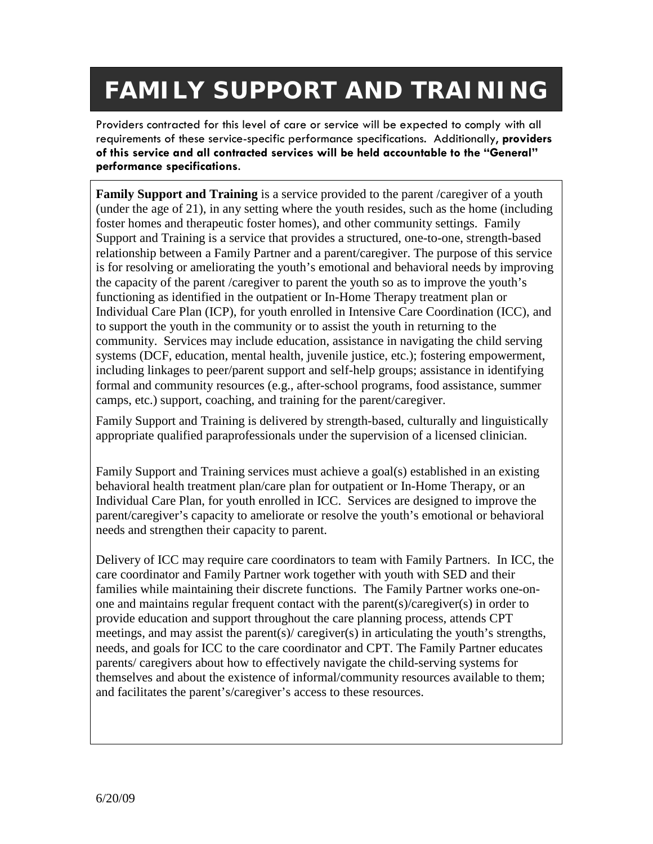## **FAMILY SUPPORT AND TRAINING**

Providers contracted for this level of care or service will be expected to comply with all requirements of these service-specific performance specifications. Additionally, **providers of this service and all contracted services will be held accountable to the "General" performance specifications**.

**Family Support and Training** is a service provided to the parent /caregiver of a youth (under the age of 21), in any setting where the youth resides, such as the home (including foster homes and therapeutic foster homes), and other community settings. Family Support and Training is a service that provides a structured, one-to-one, strength-based relationship between a Family Partner and a parent/caregiver. The purpose of this service is for resolving or ameliorating the youth's emotional and behavioral needs by improving the capacity of the parent /caregiver to parent the youth so as to improve the youth's functioning as identified in the outpatient or In-Home Therapy treatment plan or Individual Care Plan (ICP), for youth enrolled in Intensive Care Coordination (ICC), and to support the youth in the community or to assist the youth in returning to the community. Services may include education, assistance in navigating the child serving systems (DCF, education, mental health, juvenile justice, etc.); fostering empowerment, including linkages to peer/parent support and self-help groups; assistance in identifying formal and community resources (e.g., after-school programs, food assistance, summer camps, etc.) support, coaching, and training for the parent/caregiver.

Family Support and Training is delivered by strength-based, culturally and linguistically appropriate qualified paraprofessionals under the supervision of a licensed clinician.

Family Support and Training services must achieve a goal(s) established in an existing behavioral health treatment plan/care plan for outpatient or In-Home Therapy, or an Individual Care Plan, for youth enrolled in ICC. Services are designed to improve the parent/caregiver's capacity to ameliorate or resolve the youth's emotional or behavioral needs and strengthen their capacity to parent.

Delivery of ICC may require care coordinators to team with Family Partners. In ICC, the care coordinator and Family Partner work together with youth with SED and their families while maintaining their discrete functions. The Family Partner works one-onone and maintains regular frequent contact with the parent(s)/caregiver(s) in order to provide education and support throughout the care planning process, attends CPT meetings, and may assist the parent(s)/ caregiver(s) in articulating the youth's strengths, needs, and goals for ICC to the care coordinator and CPT. The Family Partner educates parents/ caregivers about how to effectively navigate the child-serving systems for themselves and about the existence of informal/community resources available to them; and facilitates the parent's/caregiver's access to these resources.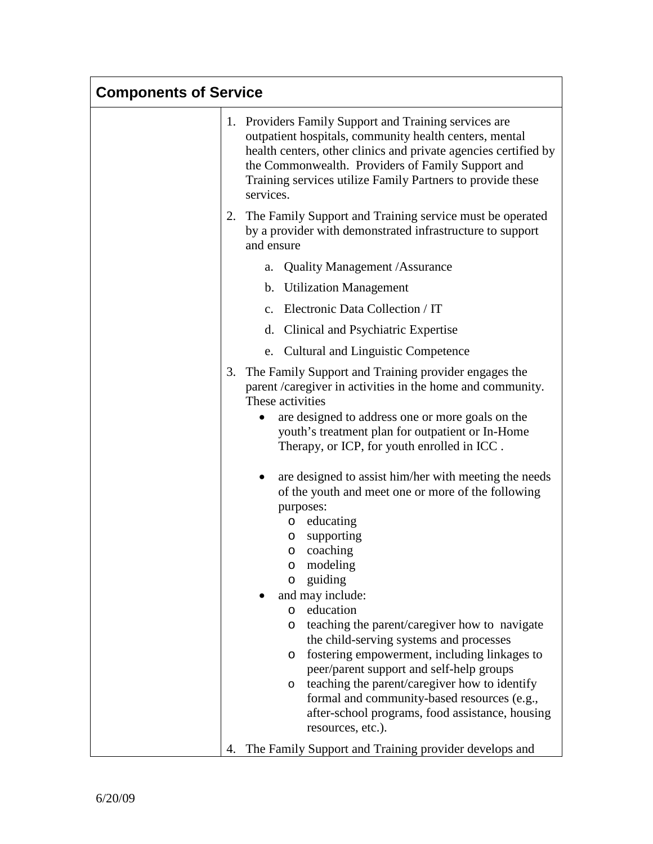| <b>Components of Service</b> |                                                                                                                                                                                                                                                                                                                                                                                                                                                                                                                                                                                                                                                                                                                                                                            |
|------------------------------|----------------------------------------------------------------------------------------------------------------------------------------------------------------------------------------------------------------------------------------------------------------------------------------------------------------------------------------------------------------------------------------------------------------------------------------------------------------------------------------------------------------------------------------------------------------------------------------------------------------------------------------------------------------------------------------------------------------------------------------------------------------------------|
|                              | 1. Providers Family Support and Training services are<br>outpatient hospitals, community health centers, mental<br>health centers, other clinics and private agencies certified by<br>the Commonwealth. Providers of Family Support and<br>Training services utilize Family Partners to provide these<br>services.                                                                                                                                                                                                                                                                                                                                                                                                                                                         |
|                              | 2. The Family Support and Training service must be operated<br>by a provider with demonstrated infrastructure to support<br>and ensure                                                                                                                                                                                                                                                                                                                                                                                                                                                                                                                                                                                                                                     |
|                              | <b>Quality Management / Assurance</b><br>a.                                                                                                                                                                                                                                                                                                                                                                                                                                                                                                                                                                                                                                                                                                                                |
|                              | b. Utilization Management                                                                                                                                                                                                                                                                                                                                                                                                                                                                                                                                                                                                                                                                                                                                                  |
|                              | c. Electronic Data Collection / IT                                                                                                                                                                                                                                                                                                                                                                                                                                                                                                                                                                                                                                                                                                                                         |
|                              | d. Clinical and Psychiatric Expertise                                                                                                                                                                                                                                                                                                                                                                                                                                                                                                                                                                                                                                                                                                                                      |
|                              | e. Cultural and Linguistic Competence                                                                                                                                                                                                                                                                                                                                                                                                                                                                                                                                                                                                                                                                                                                                      |
|                              | 3.<br>The Family Support and Training provider engages the<br>parent /caregiver in activities in the home and community.<br>These activities<br>are designed to address one or more goals on the<br>youth's treatment plan for outpatient or In-Home                                                                                                                                                                                                                                                                                                                                                                                                                                                                                                                       |
|                              | Therapy, or ICP, for youth enrolled in ICC.<br>are designed to assist him/her with meeting the needs<br>of the youth and meet one or more of the following<br>purposes:<br>educating<br>$\circ$<br>supporting<br>O<br>coaching<br>O<br>modeling<br>O<br>guiding<br>O<br>and may include:<br>education<br>$\circ$<br>teaching the parent/caregiver how to navigate<br>$\circ$<br>the child-serving systems and processes<br>fostering empowerment, including linkages to<br>$\circ$<br>peer/parent support and self-help groups<br>teaching the parent/caregiver how to identify<br>O<br>formal and community-based resources (e.g.,<br>after-school programs, food assistance, housing<br>resources, etc.).<br>The Family Support and Training provider develops and<br>4. |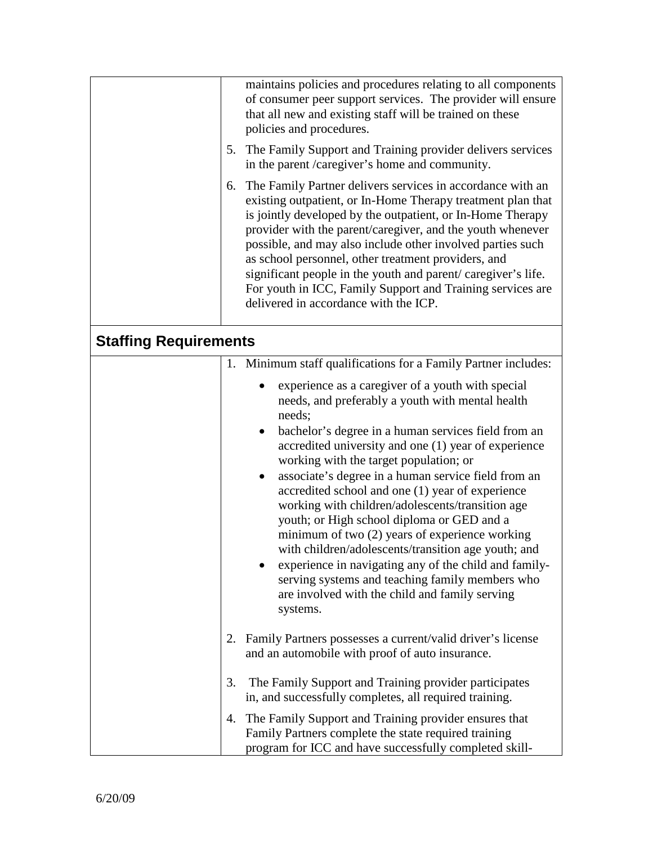|                              | maintains policies and procedures relating to all components<br>of consumer peer support services. The provider will ensure<br>that all new and existing staff will be trained on these<br>policies and procedures.<br>The Family Support and Training provider delivers services<br>5.<br>in the parent /caregiver's home and community.<br>The Family Partner delivers services in accordance with an<br>6.<br>existing outpatient, or In-Home Therapy treatment plan that<br>is jointly developed by the outpatient, or In-Home Therapy<br>provider with the parent/caregiver, and the youth whenever<br>possible, and may also include other involved parties such<br>as school personnel, other treatment providers, and<br>significant people in the youth and parent/caregiver's life.<br>For youth in ICC, Family Support and Training services are<br>delivered in accordance with the ICP. |
|------------------------------|------------------------------------------------------------------------------------------------------------------------------------------------------------------------------------------------------------------------------------------------------------------------------------------------------------------------------------------------------------------------------------------------------------------------------------------------------------------------------------------------------------------------------------------------------------------------------------------------------------------------------------------------------------------------------------------------------------------------------------------------------------------------------------------------------------------------------------------------------------------------------------------------------|
| <b>Staffing Requirements</b> |                                                                                                                                                                                                                                                                                                                                                                                                                                                                                                                                                                                                                                                                                                                                                                                                                                                                                                      |
|                              | 1. Minimum staff qualifications for a Family Partner includes:<br>experience as a caregiver of a youth with special<br>needs, and preferably a youth with mental health<br>needs;<br>bachelor's degree in a human services field from an<br>$\bullet$<br>accredited university and one (1) year of experience<br>working with the target population; or<br>associate's degree in a human service field from an<br>$\bullet$<br>accredited school and one (1) year of experience<br>working with children/adolescents/transition age<br>youth; or High school diploma or GED and a<br>minimum of two (2) years of experience working<br>with children/adolescents/transition age youth; and<br>experience in navigating any of the child and family-<br>serving systems and teaching family members who<br>are involved with the child and family serving<br>systems.                                 |
| 2.<br>3.                     | Family Partners possesses a current/valid driver's license<br>and an automobile with proof of auto insurance.<br>The Family Support and Training provider participates                                                                                                                                                                                                                                                                                                                                                                                                                                                                                                                                                                                                                                                                                                                               |
|                              | in, and successfully completes, all required training.                                                                                                                                                                                                                                                                                                                                                                                                                                                                                                                                                                                                                                                                                                                                                                                                                                               |
|                              | The Family Support and Training provider ensures that<br>4.<br>Family Partners complete the state required training<br>program for ICC and have successfully completed skill-                                                                                                                                                                                                                                                                                                                                                                                                                                                                                                                                                                                                                                                                                                                        |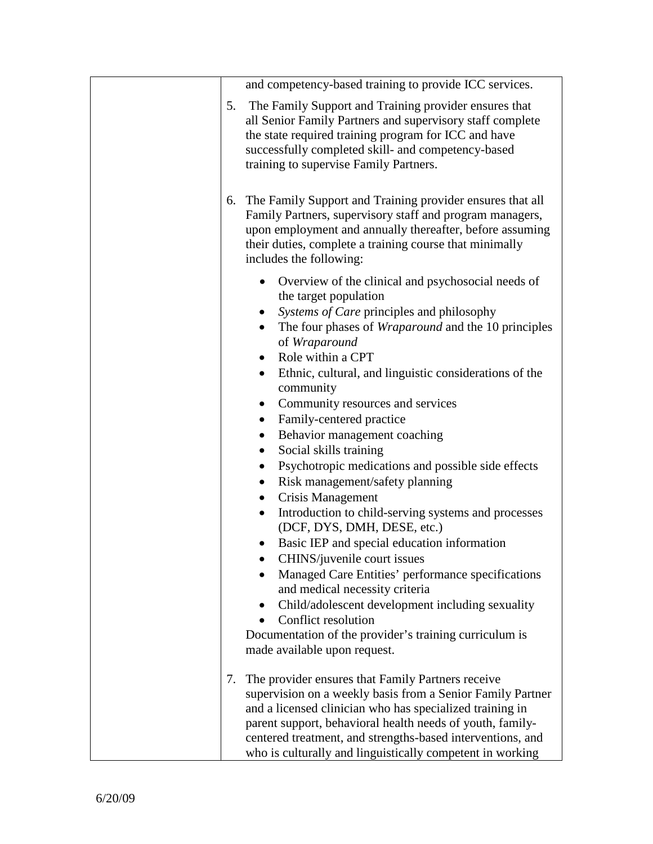| and competency-based training to provide ICC services.                                                                                                                                                                                                                                                                                                                                      |
|---------------------------------------------------------------------------------------------------------------------------------------------------------------------------------------------------------------------------------------------------------------------------------------------------------------------------------------------------------------------------------------------|
| 5.<br>The Family Support and Training provider ensures that<br>all Senior Family Partners and supervisory staff complete<br>the state required training program for ICC and have<br>successfully completed skill- and competency-based<br>training to supervise Family Partners.                                                                                                            |
| The Family Support and Training provider ensures that all<br>6.<br>Family Partners, supervisory staff and program managers,<br>upon employment and annually thereafter, before assuming<br>their duties, complete a training course that minimally<br>includes the following:                                                                                                               |
| Overview of the clinical and psychosocial needs of<br>the target population<br>Systems of Care principles and philosophy<br>$\bullet$<br>The four phases of <i>Wraparound</i> and the 10 principles<br>$\bullet$<br>of Wraparound<br>Role within a CPT<br>Ethnic, cultural, and linguistic considerations of the<br>$\bullet$<br>community<br>Community resources and services<br>$\bullet$ |
| Family-centered practice<br>$\bullet$<br>Behavior management coaching<br>$\bullet$<br>Social skills training<br>$\bullet$<br>Psychotropic medications and possible side effects<br>$\bullet$<br>Risk management/safety planning<br>$\bullet$                                                                                                                                                |
| Crisis Management<br>$\bullet$<br>Introduction to child-serving systems and processes<br>$\bullet$<br>(DCF, DYS, DMH, DESE, etc.)<br>Basic IEP and special education information<br>CHINS/juvenile court issues<br>Managed Care Entities' performance specifications<br>and medical necessity criteria                                                                                      |
| Child/adolescent development including sexuality<br>$\bullet$<br>Conflict resolution<br>Documentation of the provider's training curriculum is<br>made available upon request.                                                                                                                                                                                                              |
| The provider ensures that Family Partners receive<br>7.<br>supervision on a weekly basis from a Senior Family Partner<br>and a licensed clinician who has specialized training in<br>parent support, behavioral health needs of youth, family-<br>centered treatment, and strengths-based interventions, and<br>who is culturally and linguistically competent in working                   |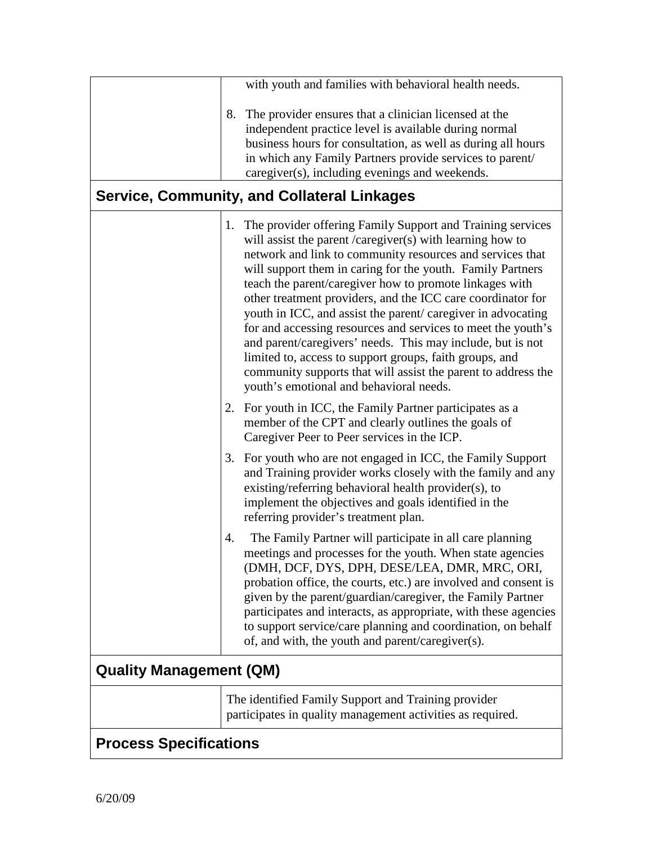|                                | with youth and families with behavioral health needs.                                                                                                                                                                                                                                                                                                                                                                                                                                                                                                                                                                                                                                                                                                  |
|--------------------------------|--------------------------------------------------------------------------------------------------------------------------------------------------------------------------------------------------------------------------------------------------------------------------------------------------------------------------------------------------------------------------------------------------------------------------------------------------------------------------------------------------------------------------------------------------------------------------------------------------------------------------------------------------------------------------------------------------------------------------------------------------------|
| 8.                             | The provider ensures that a clinician licensed at the<br>independent practice level is available during normal<br>business hours for consultation, as well as during all hours<br>in which any Family Partners provide services to parent/<br>caregiver(s), including evenings and weekends.<br><b>Service, Community, and Collateral Linkages</b>                                                                                                                                                                                                                                                                                                                                                                                                     |
|                                | 1. The provider offering Family Support and Training services<br>will assist the parent / $caregiver(s)$ with learning how to<br>network and link to community resources and services that<br>will support them in caring for the youth. Family Partners<br>teach the parent/caregiver how to promote linkages with<br>other treatment providers, and the ICC care coordinator for<br>youth in ICC, and assist the parent/caregiver in advocating<br>for and accessing resources and services to meet the youth's<br>and parent/caregivers' needs. This may include, but is not<br>limited to, access to support groups, faith groups, and<br>community supports that will assist the parent to address the<br>youth's emotional and behavioral needs. |
|                                | 2. For youth in ICC, the Family Partner participates as a<br>member of the CPT and clearly outlines the goals of<br>Caregiver Peer to Peer services in the ICP.                                                                                                                                                                                                                                                                                                                                                                                                                                                                                                                                                                                        |
|                                | 3. For youth who are not engaged in ICC, the Family Support<br>and Training provider works closely with the family and any<br>existing/referring behavioral health provider(s), to<br>implement the objectives and goals identified in the<br>referring provider's treatment plan.                                                                                                                                                                                                                                                                                                                                                                                                                                                                     |
| 4.                             | The Family Partner will participate in all care planning<br>meetings and processes for the youth. When state agencies<br>(DMH, DCF, DYS, DPH, DESE/LEA, DMR, MRC, ORI,<br>probation office, the courts, etc.) are involved and consent is<br>given by the parent/guardian/caregiver, the Family Partner<br>participates and interacts, as appropriate, with these agencies<br>to support service/care planning and coordination, on behalf<br>of, and with, the youth and parent/caregiver(s).                                                                                                                                                                                                                                                         |
| <b>Quality Management (QM)</b> |                                                                                                                                                                                                                                                                                                                                                                                                                                                                                                                                                                                                                                                                                                                                                        |
|                                | The identified Family Support and Training provider<br>participates in quality management activities as required.                                                                                                                                                                                                                                                                                                                                                                                                                                                                                                                                                                                                                                      |
| <b>Process Specifications</b>  |                                                                                                                                                                                                                                                                                                                                                                                                                                                                                                                                                                                                                                                                                                                                                        |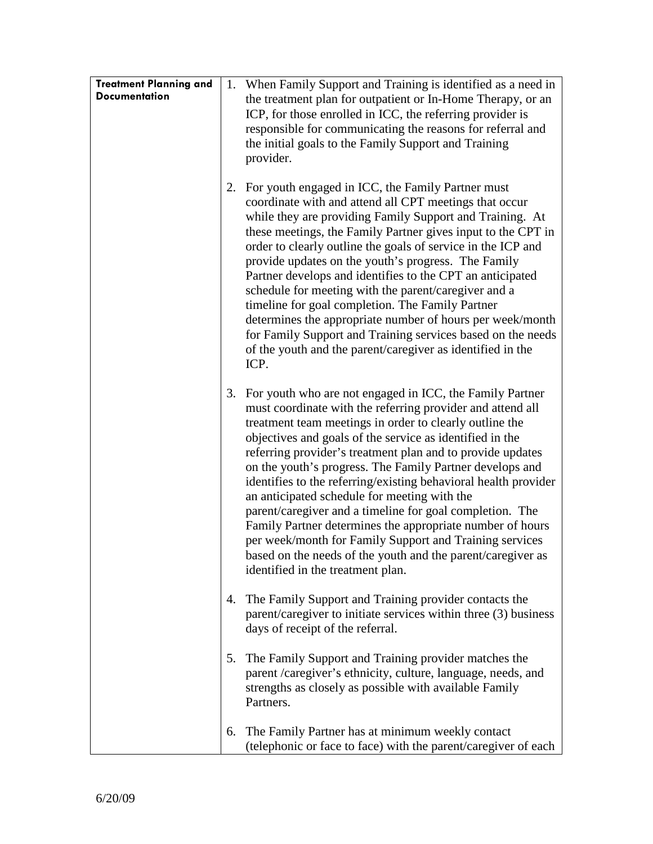| <b>Treatment Planning and</b><br><b>Documentation</b> |    | 1. When Family Support and Training is identified as a need in<br>the treatment plan for outpatient or In-Home Therapy, or an<br>ICP, for those enrolled in ICC, the referring provider is<br>responsible for communicating the reasons for referral and<br>the initial goals to the Family Support and Training<br>provider.                                                                                                                                                                                                                                                                                                                                                                                                                                                      |
|-------------------------------------------------------|----|------------------------------------------------------------------------------------------------------------------------------------------------------------------------------------------------------------------------------------------------------------------------------------------------------------------------------------------------------------------------------------------------------------------------------------------------------------------------------------------------------------------------------------------------------------------------------------------------------------------------------------------------------------------------------------------------------------------------------------------------------------------------------------|
|                                                       | 2. | For youth engaged in ICC, the Family Partner must<br>coordinate with and attend all CPT meetings that occur<br>while they are providing Family Support and Training. At<br>these meetings, the Family Partner gives input to the CPT in<br>order to clearly outline the goals of service in the ICP and<br>provide updates on the youth's progress. The Family<br>Partner develops and identifies to the CPT an anticipated<br>schedule for meeting with the parent/caregiver and a<br>timeline for goal completion. The Family Partner<br>determines the appropriate number of hours per week/month<br>for Family Support and Training services based on the needs<br>of the youth and the parent/caregiver as identified in the<br>ICP.                                          |
|                                                       | 3. | For youth who are not engaged in ICC, the Family Partner<br>must coordinate with the referring provider and attend all<br>treatment team meetings in order to clearly outline the<br>objectives and goals of the service as identified in the<br>referring provider's treatment plan and to provide updates<br>on the youth's progress. The Family Partner develops and<br>identifies to the referring/existing behavioral health provider<br>an anticipated schedule for meeting with the<br>parent/caregiver and a timeline for goal completion. The<br>Family Partner determines the appropriate number of hours<br>per week/month for Family Support and Training services<br>based on the needs of the youth and the parent/caregiver as<br>identified in the treatment plan. |
|                                                       | 4. | The Family Support and Training provider contacts the<br>parent/caregiver to initiate services within three (3) business<br>days of receipt of the referral.                                                                                                                                                                                                                                                                                                                                                                                                                                                                                                                                                                                                                       |
|                                                       | 5. | The Family Support and Training provider matches the<br>parent /caregiver's ethnicity, culture, language, needs, and<br>strengths as closely as possible with available Family<br>Partners.                                                                                                                                                                                                                                                                                                                                                                                                                                                                                                                                                                                        |
|                                                       | 6. | The Family Partner has at minimum weekly contact<br>(telephonic or face to face) with the parent/caregiver of each                                                                                                                                                                                                                                                                                                                                                                                                                                                                                                                                                                                                                                                                 |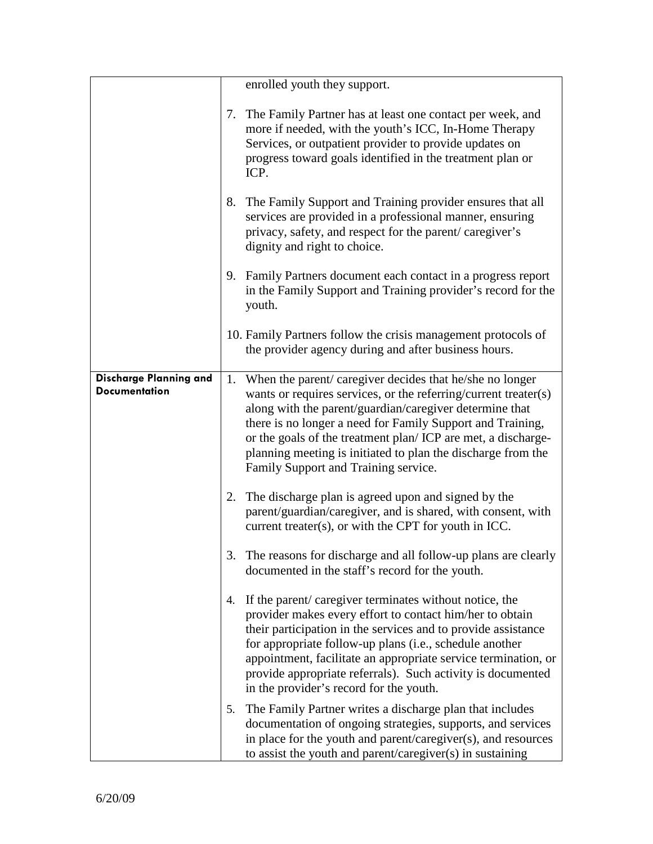|                                                       |    | enrolled youth they support.                                                                                                                                                                                                                                                                                                                                                                                                   |
|-------------------------------------------------------|----|--------------------------------------------------------------------------------------------------------------------------------------------------------------------------------------------------------------------------------------------------------------------------------------------------------------------------------------------------------------------------------------------------------------------------------|
|                                                       |    | 7. The Family Partner has at least one contact per week, and<br>more if needed, with the youth's ICC, In-Home Therapy<br>Services, or outpatient provider to provide updates on<br>progress toward goals identified in the treatment plan or<br>ICP.                                                                                                                                                                           |
|                                                       | 8. | The Family Support and Training provider ensures that all<br>services are provided in a professional manner, ensuring<br>privacy, safety, and respect for the parent/caregiver's<br>dignity and right to choice.                                                                                                                                                                                                               |
|                                                       |    | 9. Family Partners document each contact in a progress report<br>in the Family Support and Training provider's record for the<br>youth.                                                                                                                                                                                                                                                                                        |
|                                                       |    | 10. Family Partners follow the crisis management protocols of<br>the provider agency during and after business hours.                                                                                                                                                                                                                                                                                                          |
| <b>Discharge Planning and</b><br><b>Documentation</b> |    | 1. When the parent/caregiver decides that he/she no longer<br>wants or requires services, or the referring/current treater(s)<br>along with the parent/guardian/caregiver determine that<br>there is no longer a need for Family Support and Training,<br>or the goals of the treatment plan/ICP are met, a discharge-<br>planning meeting is initiated to plan the discharge from the<br>Family Support and Training service. |
|                                                       |    | 2. The discharge plan is agreed upon and signed by the<br>parent/guardian/caregiver, and is shared, with consent, with<br>current treater(s), or with the CPT for youth in ICC.                                                                                                                                                                                                                                                |
|                                                       |    | 3. The reasons for discharge and all follow-up plans are clearly<br>documented in the staff's record for the youth.                                                                                                                                                                                                                                                                                                            |
|                                                       | 4. | If the parent/caregiver terminates without notice, the<br>provider makes every effort to contact him/her to obtain<br>their participation in the services and to provide assistance<br>for appropriate follow-up plans (i.e., schedule another<br>appointment, facilitate an appropriate service termination, or<br>provide appropriate referrals). Such activity is documented<br>in the provider's record for the youth.     |
|                                                       | 5. | The Family Partner writes a discharge plan that includes<br>documentation of ongoing strategies, supports, and services<br>in place for the youth and parent/caregiver(s), and resources<br>to assist the youth and parent/caregiver(s) in sustaining                                                                                                                                                                          |